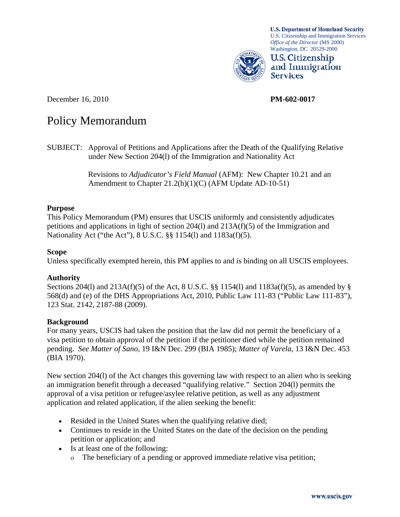

**U.S. Department of Homeland Security** U.S. Citizenship and Immigration Services *Office of the Director* (MS 2000) Washington, DC 20529-2000



December 16, 2010 **PM-602-0017** 

# Policy Memorandum

SUBJECT: Approval of Petitions and Applications after the Death of the Qualifying Relative under New Section 204(l) of the Immigration and Nationality Act

> Revisions to *Adjudicator's Field Manual* (AFM): New Chapter 10.21 and an Amendment to Chapter 21.2(h)(1)(C) (AFM Update AD-10-51)

#### **Purpose**

This Policy Memorandum (PM) ensures that USCIS uniformly and consistently adjudicates petitions and applications in light of section 204(l) and 213A(f)(5) of the Immigration and Nationality Act ("the Act"), 8 U.S.C. §§ 1154(l) and 1183a(f)(5).

#### **Scope**

Unless specifically exempted herein, this PM applies to and is binding on all USCIS employees.

# **Authority**

Sections 204(l) and 213A(f)(5) of the Act, 8 U.S.C. §§ 1154(l) and 1183a(f)(5), as amended by § 568(d) and (e) of the DHS Appropriations Act, 2010, Public Law 111-83 ("Public Law 111-83"), 123 Stat. 2142, 2187-88 (2009).

# **Background**

For many years, USCIS had taken the position that the law did not permit the beneficiary of a visa petition to obtain approval of the petition if the petitioner died while the petition remained pending. *See Matter of Sano,* 19 I&N Dec. 299 (BIA 1985); *Matter of Varela,* 13 I&N Dec. 453 (BIA 1970).

New section 204(l) of the Act changes this governing law with respect to an alien who is seeking an immigration benefit through a deceased "qualifying relative." Section 204(l) permits the approval of a visa petition or refugee/asylee relative petition, as well as any adjustment application and related application, if the alien seeking the benefit:

- Resided in the United States when the qualifying relative died;
- Continues to reside in the United States on the date of the decision on the pending petition or application; and
- Is at least one of the following:
	- The beneficiary of a pending or approved immediate relative visa petition;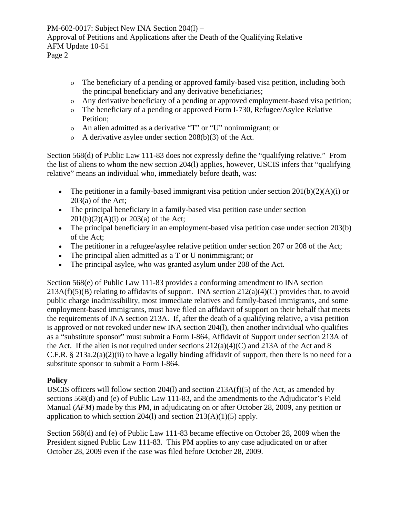- The beneficiary of a pending or approved family-based visa petition, including both the principal beneficiary and any derivative beneficiaries;
- Any derivative beneficiary of a pending or approved employment-based visa petition;
- The beneficiary of a pending or approved Form I-730, Refugee/Asylee Relative Petition;
- An alien admitted as a derivative "T" or "U" nonimmigrant; or
- A derivative asylee under section 208(b)(3) of the Act.

Section 568(d) of Public Law 111-83 does not expressly define the "qualifying relative." From the list of aliens to whom the new section 204(l) applies, however, USCIS infers that "qualifying relative" means an individual who, immediately before death, was:

- The petitioner in a family-based immigrant visa petition under section  $201(b)(2)(A)(i)$  or  $203(a)$  of the Act;
- The principal beneficiary in a family-based visa petition case under section  $201(b)(2)(A)(i)$  or  $203(a)$  of the Act;
- The principal beneficiary in an employment-based visa petition case under section 203(b) of the Act;
- The petitioner in a refugee/asylee relative petition under section 207 or 208 of the Act;
- The principal alien admitted as a T or U nonimmigrant; or
- The principal asylee, who was granted asylum under 208 of the Act.

Section 568(e) of Public Law 111-83 provides a conforming amendment to INA section  $213A(f)(5)(B)$  relating to affidavits of support. INA section  $212(a)(4)(C)$  provides that, to avoid public charge inadmissibility, most immediate relatives and family-based immigrants, and some employment-based immigrants, must have filed an affidavit of support on their behalf that meets the requirements of INA section 213A. If, after the death of a qualifying relative, a visa petition is approved or not revoked under new INA section 204(l), then another individual who qualifies as a "substitute sponsor" must submit a Form I-864, Affidavit of Support under section 213A of the Act. If the alien is not required under sections  $212(a)(4)(C)$  and  $213A$  of the Act and 8 C.F.R. § 213a.2(a)(2)(ii) to have a legally binding affidavit of support, then there is no need for a substitute sponsor to submit a Form I-864.

# **Policy**

USCIS officers will follow section 204(l) and section  $213A(f)(5)$  of the Act, as amended by sections 568(d) and (e) of Public Law 111-83, and the amendments to the Adjudicator's Field Manual (*AFM*) made by this PM, in adjudicating on or after October 28, 2009, any petition or application to which section 204(1) and section  $213(A)(1)(5)$  apply.

Section 568(d) and (e) of Public Law 111-83 became effective on October 28, 2009 when the President signed Public Law 111-83. This PM applies to any case adjudicated on or after October 28, 2009 even if the case was filed before October 28, 2009.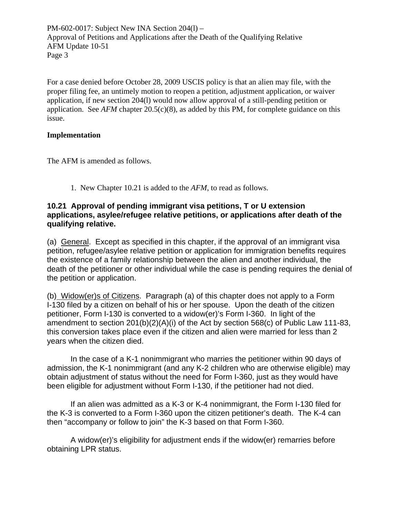For a case denied before October 28, 2009 USCIS policy is that an alien may file, with the proper filing fee, an untimely motion to reopen a petition, adjustment application, or waiver application, if new section 204(l) would now allow approval of a still-pending petition or application. See  $AFM$  chapter  $20.5(c)(8)$ , as added by this PM, for complete guidance on this issue.

#### **Implementation**

The AFM is amended as follows.

1. New Chapter 10.21 is added to the *AFM*, to read as follows.

# **10.21 Approval of pending immigrant visa petitions, T or U extension applications, asylee/refugee relative petitions, or applications after death of the qualifying relative.**

(a) General. Except as specified in this chapter, if the approval of an immigrant visa petition, refugee/asylee relative petition or application for immigration benefits requires the existence of a family relationship between the alien and another individual, the death of the petitioner or other individual while the case is pending requires the denial of the petition or application.

(b) Widow(er)s of Citizens. Paragraph (a) of this chapter does not apply to a Form I-130 filed by a citizen on behalf of his or her spouse. Upon the death of the citizen petitioner, Form I-130 is converted to a widow(er)'s Form I-360. In light of the amendment to section 201(b)(2)(A)(i) of the Act by section 568(c) of Public Law 111-83, this conversion takes place even if the citizen and alien were married for less than 2 years when the citizen died.

In the case of a K-1 nonimmigrant who marries the petitioner within 90 days of admission, the K-1 nonimmigrant (and any K-2 children who are otherwise eligible) may obtain adjustment of status without the need for Form I-360, just as they would have been eligible for adjustment without Form I-130, if the petitioner had not died.

If an alien was admitted as a K-3 or K-4 nonimmigrant, the Form I-130 filed for the K-3 is converted to a Form I-360 upon the citizen petitioner's death. The K-4 can then "accompany or follow to join" the K-3 based on that Form I-360.

A widow(er)'s eligibility for adjustment ends if the widow(er) remarries before obtaining LPR status.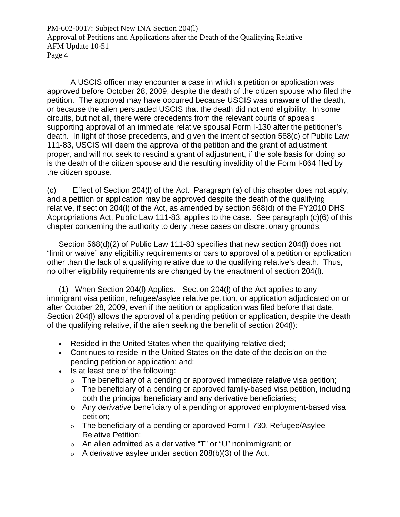A USCIS officer may encounter a case in which a petition or application was approved before October 28, 2009, despite the death of the citizen spouse who filed the petition. The approval may have occurred because USCIS was unaware of the death, or because the alien persuaded USCIS that the death did not end eligibility. In some circuits, but not all, there were precedents from the relevant courts of appeals supporting approval of an immediate relative spousal Form I-130 after the petitioner's death. In light of those precedents, and given the intent of section 568(c) of Public Law 111-83, USCIS will deem the approval of the petition and the grant of adjustment proper, and will not seek to rescind a grant of adjustment, if the sole basis for doing so is the death of the citizen spouse and the resulting invalidity of the Form I-864 filed by the citizen spouse.

(c) Effect of Section 204(l) of the Act. Paragraph (a) of this chapter does not apply, and a petition or application may be approved despite the death of the qualifying relative, if section 204(l) of the Act, as amended by section 568(d) of the FY2010 DHS Appropriations Act, Public Law 111-83, applies to the case. See paragraph (c)(6) of this chapter concerning the authority to deny these cases on discretionary grounds.

Section 568(d)(2) of Public Law 111-83 specifies that new section 204(l) does not "limit or waive" any eligibility requirements or bars to approval of a petition or application other than the lack of a qualifying relative due to the qualifying relative's death. Thus, no other eligibility requirements are changed by the enactment of section 204(l).

(1) When Section 204(l) Applies. Section 204(l) of the Act applies to any immigrant visa petition, refugee/asylee relative petition, or application adjudicated on or after October 28, 2009, even if the petition or application was filed before that date. Section 204(l) allows the approval of a pending petition or application, despite the death of the qualifying relative, if the alien seeking the benefit of section 204(l):

- Resided in the United States when the qualifying relative died;
- Continues to reside in the United States on the date of the decision on the pending petition or application; and;
- Is at least one of the following:
	- The beneficiary of a pending or approved immediate relative visa petition;
	- $\circ$  The beneficiary of a pending or approved family-based visa petition, including both the principal beneficiary and any derivative beneficiaries;
	- o Any *derivative* beneficiary of a pending or approved employment-based visa petition;
	- The beneficiary of a pending or approved Form I-730, Refugee/Asylee Relative Petition;
	- An alien admitted as a derivative "T" or "U" nonimmigrant; or
	- $\alpha$  A derivative asylee under section 208(b)(3) of the Act.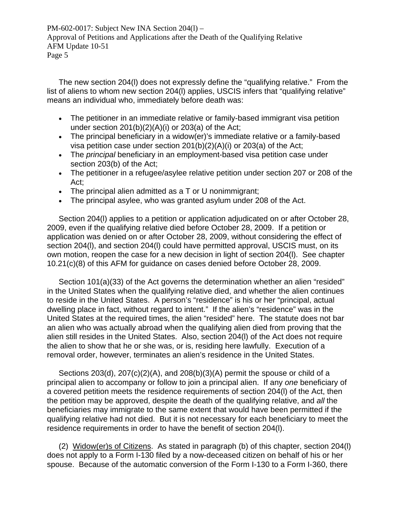The new section 204(l) does not expressly define the "qualifying relative." From the list of aliens to whom new section 204(l) applies, USCIS infers that "qualifying relative" means an individual who, immediately before death was:

- The petitioner in an immediate relative or family-based immigrant visa petition under section  $201(b)(2)(A)(i)$  or  $203(a)$  of the Act;
- The principal beneficiary in a widow(er)'s immediate relative or a family-based visa petition case under section 201(b)(2)(A)(i) or 203(a) of the Act;
- The *principal* beneficiary in an employment-based visa petition case under section 203(b) of the Act;
- The petitioner in a refugee/asylee relative petition under section 207 or 208 of the Act;
- The principal alien admitted as a T or U nonimmigrant;
- The principal asylee, who was granted asylum under 208 of the Act.

Section 204(l) applies to a petition or application adjudicated on or after October 28, 2009, even if the qualifying relative died before October 28, 2009. If a petition or application was denied on or after October 28, 2009, without considering the effect of section 204(l), and section 204(l) could have permitted approval, USCIS must, on its own motion, reopen the case for a new decision in light of section 204(l). See chapter 10.21(c)(8) of this AFM for guidance on cases denied before October 28, 2009.

Section 101(a)(33) of the Act governs the determination whether an alien "resided" in the United States when the qualifying relative died, and whether the alien continues to reside in the United States. A person's "residence" is his or her "principal, actual dwelling place in fact, without regard to intent." If the alien's "residence" was in the United States at the required times, the alien "resided" here. The statute does not bar an alien who was actually abroad when the qualifying alien died from proving that the alien still resides in the United States. Also, section 204(l) of the Act does not require the alien to show that he or she was, or is, residing here lawfully. Execution of a removal order, however, terminates an alien's residence in the United States.

Sections 203(d), 207(c)(2)(A), and 208(b)(3)(A) permit the spouse or child of a principal alien to accompany or follow to join a principal alien. If any *one* beneficiary of a covered petition meets the residence requirements of section 204(l) of the Act, then the petition may be approved, despite the death of the qualifying relative, and *all* the beneficiaries may immigrate to the same extent that would have been permitted if the qualifying relative had not died. But it is not necessary for each beneficiary to meet the residence requirements in order to have the benefit of section 204(l).

(2) Widow(er)s of Citizens. As stated in paragraph (b) of this chapter, section 204(l) does not apply to a Form I-130 filed by a now-deceased citizen on behalf of his or her spouse. Because of the automatic conversion of the Form I-130 to a Form I-360, there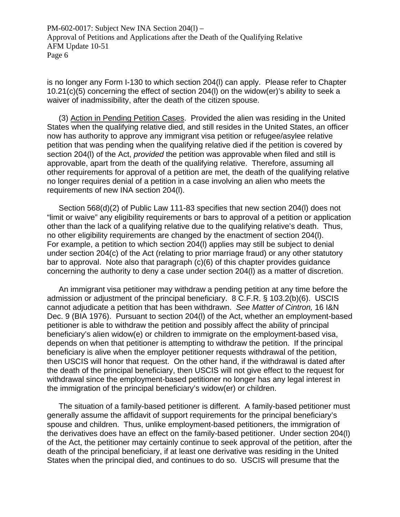is no longer any Form I-130 to which section 204(l) can apply. Please refer to Chapter 10.21(c)(5) concerning the effect of section 204(l) on the widow(er)'s ability to seek a waiver of inadmissibility, after the death of the citizen spouse.

(3) Action in Pending Petition Cases. Provided the alien was residing in the United States when the qualifying relative died, and still resides in the United States, an officer now has authority to approve any immigrant visa petition or refugee/asylee relative petition that was pending when the qualifying relative died if the petition is covered by section 204(l) of the Act, *provided* the petition was approvable when filed and still is approvable, apart from the death of the qualifying relative. Therefore, assuming all other requirements for approval of a petition are met, the death of the qualifying relative no longer requires denial of a petition in a case involving an alien who meets the requirements of new INA section 204(l).

Section 568(d)(2) of Public Law 111-83 specifies that new section 204(l) does not "limit or waive" any eligibility requirements or bars to approval of a petition or application other than the lack of a qualifying relative due to the qualifying relative's death. Thus, no other eligibility requirements are changed by the enactment of section 204(l). For example, a petition to which section 204(l) applies may still be subject to denial under section 204(c) of the Act (relating to prior marriage fraud) or any other statutory bar to approval. Note also that paragraph (c)(6) of this chapter provides guidance concerning the authority to deny a case under section 204(l) as a matter of discretion.

An immigrant visa petitioner may withdraw a pending petition at any time before the admission or adjustment of the principal beneficiary. 8 C.F.R. § 103.2(b)(6). USCIS cannot adjudicate a petition that has been withdrawn. *See Matter of Cintron,* 16 I&N Dec. 9 (BIA 1976). Pursuant to section 204(l) of the Act, whether an employment-based petitioner is able to withdraw the petition and possibly affect the ability of principal beneficiary's alien widow(e) or children to immigrate on the employment-based visa, depends on when that petitioner is attempting to withdraw the petition. If the principal beneficiary is alive when the employer petitioner requests withdrawal of the petition, then USCIS will honor that request. On the other hand, if the withdrawal is dated after the death of the principal beneficiary, then USCIS will not give effect to the request for withdrawal since the employment-based petitioner no longer has any legal interest in the immigration of the principal beneficiary's widow(er) or children.

The situation of a family-based petitioner is different. A family-based petitioner must generally assume the affidavit of support requirements for the principal beneficiary's spouse and children. Thus, unlike employment-based petitioners, the immigration of the derivatives does have an effect on the family-based petitioner. Under section 204(l) of the Act, the petitioner may certainly continue to seek approval of the petition, after the death of the principal beneficiary, if at least one derivative was residing in the United States when the principal died, and continues to do so. USCIS will presume that the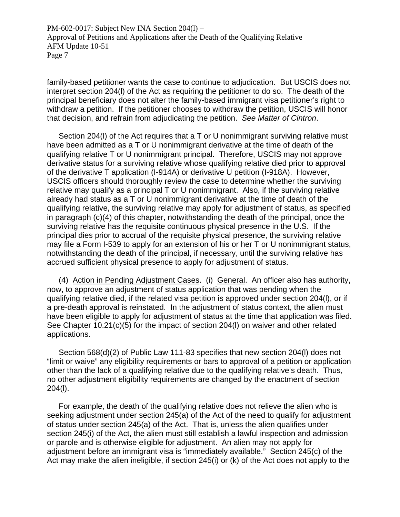family-based petitioner wants the case to continue to adjudication. But USCIS does not interpret section 204(l) of the Act as requiring the petitioner to do so. The death of the principal beneficiary does not alter the family-based immigrant visa petitioner's right to withdraw a petition. If the petitioner chooses to withdraw the petition, USCIS will honor that decision, and refrain from adjudicating the petition. *See Matter of Cintron*.

Section 204(l) of the Act requires that a T or U nonimmigrant surviving relative must have been admitted as a T or U nonimmigrant derivative at the time of death of the qualifying relative T or U nonimmigrant principal. Therefore, USCIS may not approve derivative status for a surviving relative whose qualifying relative died prior to approval of the derivative T application (I-914A) or derivative U petition (I-918A). However, USCIS officers should thoroughly review the case to determine whether the surviving relative may qualify as a principal T or U nonimmigrant. Also, if the surviving relative already had status as a T or U nonimmigrant derivative at the time of death of the qualifying relative, the surviving relative may apply for adjustment of status, as specified in paragraph (c)(4) of this chapter, notwithstanding the death of the principal, once the surviving relative has the requisite continuous physical presence in the U.S. If the principal dies prior to accrual of the requisite physical presence, the surviving relative may file a Form I-539 to apply for an extension of his or her T or U nonimmigrant status, notwithstanding the death of the principal, if necessary, until the surviving relative has accrued sufficient physical presence to apply for adjustment of status.

(4) Action in Pending Adjustment Cases. (i) General. An officer also has authority, now, to approve an adjustment of status application that was pending when the qualifying relative died, if the related visa petition is approved under section 204(l), or if a pre-death approval is reinstated. In the adjustment of status context, the alien must have been eligible to apply for adjustment of status at the time that application was filed. See Chapter 10.21(c)(5) for the impact of section 204(l) on waiver and other related applications.

Section 568(d)(2) of Public Law 111-83 specifies that new section 204(l) does not "limit or waive" any eligibility requirements or bars to approval of a petition or application other than the lack of a qualifying relative due to the qualifying relative's death. Thus, no other adjustment eligibility requirements are changed by the enactment of section 204(l).

For example, the death of the qualifying relative does not relieve the alien who is seeking adjustment under section 245(a) of the Act of the need to qualify for adjustment of status under section 245(a) of the Act. That is, unless the alien qualifies under section 245(i) of the Act, the alien must still establish a lawful inspection and admission or parole and is otherwise eligible for adjustment. An alien may not apply for adjustment before an immigrant visa is "immediately available." Section 245(c) of the Act may make the alien ineligible, if section 245(i) or (k) of the Act does not apply to the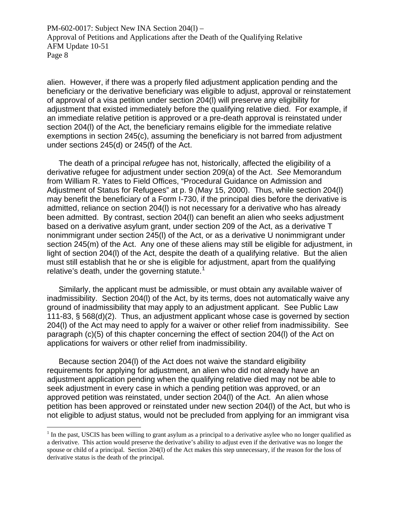alien. However, if there was a properly filed adjustment application pending and the beneficiary or the derivative beneficiary was eligible to adjust, approval or reinstatement of approval of a visa petition under section 204(l) will preserve any eligibility for adjustment that existed immediately before the qualifying relative died. For example, if an immediate relative petition is approved or a pre-death approval is reinstated under section 204(l) of the Act, the beneficiary remains eligible for the immediate relative exemptions in section 245(c), assuming the beneficiary is not barred from adjustment under sections 245(d) or 245(f) of the Act.

The death of a principal *refugee* has not, historically, affected the eligibility of a derivative refugee for adjustment under section 209(a) of the Act. *See* Memorandum from William R. Yates to Field Offices, "Procedural Guidance on Admission and Adjustment of Status for Refugees" at p. 9 (May 15, 2000). Thus, while section 204(l) may benefit the beneficiary of a Form I-730, if the principal dies before the derivative is admitted, reliance on section 204(l) is not necessary for a derivative who has already been admitted. By contrast, section 204(l) can benefit an alien who seeks adjustment based on a derivative asylum grant, under section 209 of the Act, as a derivative T nonimmigrant under section 245(l) of the Act, or as a derivative U nonimmigrant under section 245(m) of the Act. Any one of these aliens may still be eligible for adjustment, in light of section 204(l) of the Act, despite the death of a qualifying relative. But the alien must still establish that he or she is eligible for adjustment, apart from the qualifying relative's death, under the governing statute.<sup>[1](#page-7-0)</sup>

Similarly, the applicant must be admissible, or must obtain any available waiver of inadmissibility. Section 204(l) of the Act, by its terms, does not automatically waive any ground of inadmissibility that may apply to an adjustment applicant. See Public Law 111-83, § 568(d)(2). Thus, an adjustment applicant whose case is governed by section 204(l) of the Act may need to apply for a waiver or other relief from inadmissibility. See paragraph (c)(5) of this chapter concerning the effect of section 204(l) of the Act on applications for waivers or other relief from inadmissibility.

Because section 204(l) of the Act does not waive the standard eligibility requirements for applying for adjustment, an alien who did not already have an adjustment application pending when the qualifying relative died may not be able to seek adjustment in every case in which a pending petition was approved, or an approved petition was reinstated, under section 204(l) of the Act. An alien whose petition has been approved or reinstated under new section 204(l) of the Act, but who is not eligible to adjust status, would not be precluded from applying for an immigrant visa

 $\overline{a}$ 

<span id="page-7-0"></span> $1$  In the past, USCIS has been willing to grant asylum as a principal to a derivative asylee who no longer qualified as a derivative. This action would preserve the derivative's ability to adjust even if the derivative was no longer the spouse or child of a principal. Section 204(l) of the Act makes this step unnecessary, if the reason for the loss of derivative status is the death of the principal.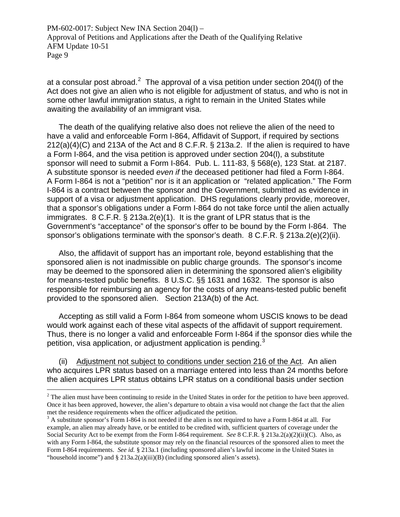at a consular post abroad.<sup>[2](#page-8-0)</sup> The approval of a visa petition under section 204(I) of the Act does not give an alien who is not eligible for adjustment of status, and who is not in some other lawful immigration status, a right to remain in the United States while awaiting the availability of an immigrant visa.

The death of the qualifying relative also does not relieve the alien of the need to have a valid and enforceable Form I-864, Affidavit of Support, if required by sections 212(a)(4)(C) and 213A of the Act and 8 C.F.R. § 213a.2. If the alien is required to have a Form I-864, and the visa petition is approved under section 204(l), a substitute sponsor will need to submit a Form I-864. Pub. L. 111-83, § 568(e), 123 Stat. at 2187. A substitute sponsor is needed *even if* the deceased petitioner had filed a Form I-864. A Form I-864 is not a "petition" nor is it an application or "related application." The Form I-864 is a contract between the sponsor and the Government, submitted as evidence in support of a visa or adjustment application. DHS regulations clearly provide, moreover, that a sponsor's obligations under a Form I-864 do not take force until the alien actually immigrates. 8 C.F.R. § 213a.2(e)(1). It is the grant of LPR status that is the Government's "acceptance" of the sponsor's offer to be bound by the Form I-864. The sponsor's obligations terminate with the sponsor's death.  $8 \text{ C.F.R.}$   $\S$  213a.2(e)(2)(ii).

Also, the affidavit of support has an important role, beyond establishing that the sponsored alien is not inadmissible on public charge grounds. The sponsor's income may be deemed to the sponsored alien in determining the sponsored alien's eligibility for means-tested public benefits. 8 U.S.C. §§ 1631 and 1632. The sponsor is also responsible for reimbursing an agency for the costs of any means-tested public benefit provided to the sponsored alien. Section 213A(b) of the Act.

Accepting as still valid a Form I-864 from someone whom USCIS knows to be dead would work against each of these vital aspects of the affidavit of support requirement. Thus, there is no longer a valid and enforceable Form I-864 if the sponsor dies while the petition, visa application, or adjustment application is pending.<sup>[3](#page-8-1)</sup>

(ii) Adjustment not subject to conditions under section 216 of the Act. An alien who acquires LPR status based on a marriage entered into less than 24 months before the alien acquires LPR status obtains LPR status on a conditional basis under section

<u>.</u>

<span id="page-8-0"></span> $2^2$  The alien must have been continuing to reside in the United States in order for the petition to have been approved. Once it has been approved, however, the alien's departure to obtain a visa would not change the fact that the alien met the residence requirements when the officer adjudicated the petition.

<span id="page-8-1"></span> $3$  A substitute sponsor's Form I-864 is not needed if the alien is not required to have a Form I-864 at all. For example, an alien may already have, or be entitled to be credited with, sufficient quarters of coverage under the Social Security Act to be exempt from the Form I-864 requirement. *See* 8 C.F.R. § 213a.2(a)(2)(ii)(C). Also, as with any Form I-864, the substitute sponsor may rely on the financial resources of the sponsored alien to meet the Form I-864 requirements. *See id.* § 213a.1 (including sponsored alien's lawful income in the United States in "household income") and § 213a.2(a)(iii)(B) (including sponsored alien's assets).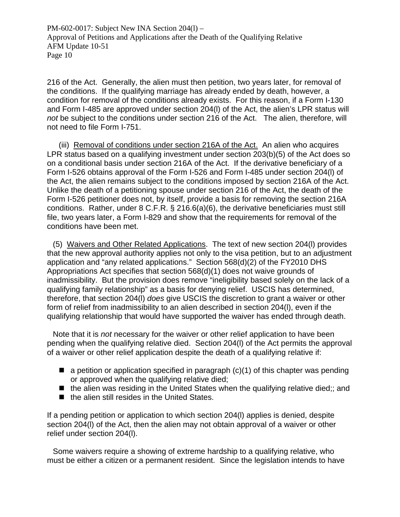216 of the Act. Generally, the alien must then petition, two years later, for removal of the conditions. If the qualifying marriage has already ended by death, however, a condition for removal of the conditions already exists. For this reason, if a Form I-130 and Form I-485 are approved under section 204(l) of the Act, the alien's LPR status will *not* be subject to the conditions under section 216 of the Act. The alien, therefore, will not need to file Form I-751.

(iii) Removal of conditions under section 216A of the Act. An alien who acquires LPR status based on a qualifying investment under section 203(b)(5) of the Act does so on a conditional basis under section 216A of the Act. If the derivative beneficiary of a Form I-526 obtains approval of the Form I-526 and Form I-485 under section 204(l) of the Act, the alien remains subject to the conditions imposed by section 216A of the Act. Unlike the death of a petitioning spouse under section 216 of the Act, the death of the Form I-526 petitioner does not, by itself, provide a basis for removing the section 216A conditions. Rather, under 8 C.F.R. § 216.6(a)(6), the derivative beneficiaries must still file, two years later, a Form I-829 and show that the requirements for removal of the conditions have been met.

(5) Waivers and Other Related Applications. The text of new section 204(l) provides that the new approval authority applies not only to the visa petition, but to an adjustment application and "any related applications." Section 568(d)(2) of the FY2010 DHS Appropriations Act specifies that section 568(d)(1) does not waive grounds of inadmissibility. But the provision does remove "ineligibility based solely on the lack of a qualifying family relationship" as a basis for denying relief. USCIS has determined, therefore, that section 204(l) *does* give USCIS the discretion to grant a waiver or other form of relief from inadmissibility to an alien described in section 204(l), even if the qualifying relationship that would have supported the waiver has ended through death.

Note that it is *not* necessary for the waiver or other relief application to have been pending when the qualifying relative died. Section 204(l) of the Act permits the approval of a waiver or other relief application despite the death of a qualifying relative if:

- $\blacksquare$  a petition or application specified in paragraph (c)(1) of this chapter was pending or approved when the qualifying relative died;
- $\blacksquare$  the alien was residing in the United States when the qualifying relative died;; and
- $\blacksquare$  the alien still resides in the United States.

If a pending petition or application to which section 204(l) applies is denied, despite section 204(l) of the Act, then the alien may not obtain approval of a waiver or other relief under section 204(l).

Some waivers require a showing of extreme hardship to a qualifying relative, who must be either a citizen or a permanent resident. Since the legislation intends to have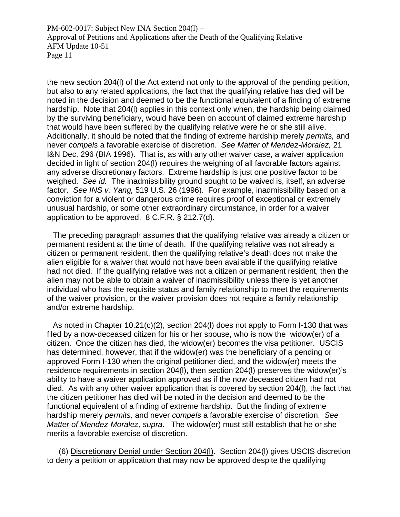the new section 204(l) of the Act extend not only to the approval of the pending petition, but also to any related applications, the fact that the qualifying relative has died will be noted in the decision and deemed to be the functional equivalent of a finding of extreme hardship. Note that 204(l) applies in this context only when, the hardship being claimed by the surviving beneficiary, would have been on account of claimed extreme hardship that would have been suffered by the qualifying relative were he or she still alive. Additionally, it should be noted that the finding of extreme hardship merely *permits,* and never *compels* a favorable exercise of discretion. *See Matter of Mendez-Moralez,* 21 I&N Dec. 296 (BIA 1996). That is, as with any other waiver case, a waiver application decided in light of section 204(l) requires the weighing of all favorable factors against any adverse discretionary factors. Extreme hardship is just one positive factor to be weighed. *See id.* The inadmissibility ground sought to be waived is, itself, an adverse factor. *See INS v. Yang,* 519 U.S. 26 (1996). For example, inadmissibility based on a conviction for a violent or dangerous crime requires proof of exceptional or extremely unusual hardship, or some other extraordinary circumstance, in order for a waiver application to be approved. 8 C.F.R. § 212.7(d).

The preceding paragraph assumes that the qualifying relative was already a citizen or permanent resident at the time of death. If the qualifying relative was not already a citizen or permanent resident, then the qualifying relative's death does not make the alien eligible for a waiver that would not have been available if the qualifying relative had not died. If the qualifying relative was not a citizen or permanent resident, then the alien may not be able to obtain a waiver of inadmissibility unless there is yet another individual who has the requisite status and family relationship to meet the requirements of the waiver provision, or the waiver provision does not require a family relationship and/or extreme hardship.

As noted in Chapter 10.21(c)(2), section 204(l) does not apply to Form I-130 that was filed by a now-deceased citizen for his or her spouse, who is now the widow(er) of a citizen. Once the citizen has died, the widow(er) becomes the visa petitioner. USCIS has determined, however, that if the widow(er) was the beneficiary of a pending or approved Form I-130 when the original petitioner died, and the widow(er) meets the residence requirements in section 204(l), then section 204(l) preserves the widow(er)'s ability to have a waiver application approved as if the now deceased citizen had not died. As with any other waiver application that is covered by section 204(l), the fact that the citizen petitioner has died will be noted in the decision and deemed to be the functional equivalent of a finding of extreme hardship. But the finding of extreme hardship merely *permits,* and never *compels* a favorable exercise of discretion. *See Matter of Mendez-Moralez, supra*. The widow(er) must still establish that he or she merits a favorable exercise of discretion.

(6) Discretionary Denial under Section 204(l). Section 204(l) gives USCIS discretion to deny a petition or application that may now be approved despite the qualifying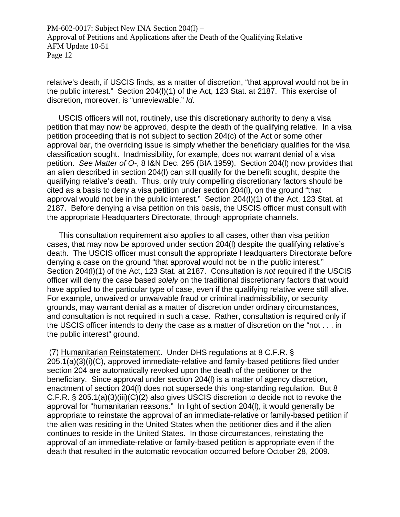relative's death, if USCIS finds, as a matter of discretion, "that approval would not be in the public interest." Section 204(l)(1) of the Act, 123 Stat. at 2187. This exercise of discretion, moreover, is "unreviewable." *Id*.

USCIS officers will not, routinely, use this discretionary authority to deny a visa petition that may now be approved, despite the death of the qualifying relative. In a visa petition proceeding that is not subject to section 204(c) of the Act or some other approval bar, the overriding issue is simply whether the beneficiary qualifies for the visa classification sought. Inadmissibility, for example, does not warrant denial of a visa petition. *See Matter of O-*, 8 I&N Dec. 295 (BIA 1959). Section 204(l) now provides that an alien described in section 204(l) can still qualify for the benefit sought, despite the qualifying relative's death. Thus, only truly compelling discretionary factors should be cited as a basis to deny a visa petition under section 204(l), on the ground "that approval would not be in the public interest." Section 204(l)(1) of the Act, 123 Stat. at 2187. Before denying a visa petition on this basis, the USCIS officer must consult with the appropriate Headquarters Directorate, through appropriate channels.

This consultation requirement also applies to all cases, other than visa petition cases, that may now be approved under section 204(l) despite the qualifying relative's death. The USCIS officer must consult the appropriate Headquarters Directorate before denying a case on the ground "that approval would not be in the public interest." Section 204(l)(1) of the Act, 123 Stat. at 2187. Consultation is *not* required if the USCIS officer will deny the case based *solely* on the traditional discretionary factors that would have applied to the particular type of case, even if the qualifying relative were still alive. For example, unwaived or unwaivable fraud or criminal inadmissibility, or security grounds, may warrant denial as a matter of discretion under ordinary circumstances, and consultation is not required in such a case. Rather, consultation is required only if the USCIS officer intends to deny the case as a matter of discretion on the "not . . . in the public interest" ground.

 (7) Humanitarian Reinstatement. Under DHS regulations at 8 C.F.R. § 205.1(a)(3)(i)(C), approved immediate-relative and family-based petitions filed under section 204 are automatically revoked upon the death of the petitioner or the beneficiary. Since approval under section 204(l) is a matter of agency discretion, enactment of section 204(l) does not supersede this long-standing regulation. But 8 C.F.R. § 205.1(a)(3)(iii)(C)(2) also gives USCIS discretion to decide not to revoke the approval for "humanitarian reasons." In light of section 204(l), it would generally be appropriate to reinstate the approval of an immediate-relative or family-based petition if the alien was residing in the United States when the petitioner dies and if the alien continues to reside in the United States. In those circumstances, reinstating the approval of an immediate-relative or family-based petition is appropriate even if the death that resulted in the automatic revocation occurred before October 28, 2009.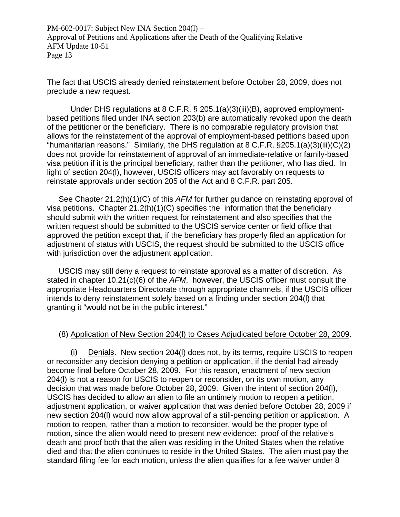The fact that USCIS already denied reinstatement before October 28, 2009, does not preclude a new request.

 Under DHS regulations at 8 C.F.R. § 205.1(a)(3)(iii)(B), approved employmentbased petitions filed under INA section 203(b) are automatically revoked upon the death of the petitioner or the beneficiary. There is no comparable regulatory provision that allows for the reinstatement of the approval of employment-based petitions based upon "humanitarian reasons." Similarly, the DHS regulation at 8 C.F.R.  $\S 205.1(a)(3)(iii)(C)(2)$ does not provide for reinstatement of approval of an immediate-relative or family-based visa petition if it is the principal beneficiary, rather than the petitioner, who has died. In light of section 204(l), however, USCIS officers may act favorably on requests to reinstate approvals under section 205 of the Act and 8 C.F.R. part 205.

See Chapter 21.2(h)(1)(C) of this *AFM* for further guidance on reinstating approval of visa petitions. Chapter 21.2(h)(1)(C) specifies the information that the beneficiary should submit with the written request for reinstatement and also specifies that the written request should be submitted to the USCIS service center or field office that approved the petition except that, if the beneficiary has properly filed an application for adjustment of status with USCIS, the request should be submitted to the USCIS office with jurisdiction over the adjustment application.

USCIS may still deny a request to reinstate approval as a matter of discretion. As stated in chapter 10.21(c)(6) of the *AFM*, however, the USCIS officer must consult the appropriate Headquarters Directorate through appropriate channels, if the USCIS officer intends to deny reinstatement solely based on a finding under section 204(l) that granting it "would not be in the public interest."

# (8) Application of New Section 204(l) to Cases Adjudicated before October 28, 2009.

(i) Denials. New section 204(l) does not, by its terms, require USCIS to reopen or reconsider any decision denying a petition or application, if the denial had already become final before October 28, 2009. For this reason, enactment of new section 204(l) is not a reason for USCIS to reopen or reconsider, on its own motion, any decision that was made before October 28, 2009. Given the intent of section 204(l), USCIS has decided to allow an alien to file an untimely motion to reopen a petition, adjustment application, or waiver application that was denied before October 28, 2009 if new section 204(l) would now allow approval of a still-pending petition or application. A motion to reopen, rather than a motion to reconsider, would be the proper type of motion, since the alien would need to present new evidence: proof of the relative's death and proof both that the alien was residing in the United States when the relative died and that the alien continues to reside in the United States. The alien must pay the standard filing fee for each motion, unless the alien qualifies for a fee waiver under 8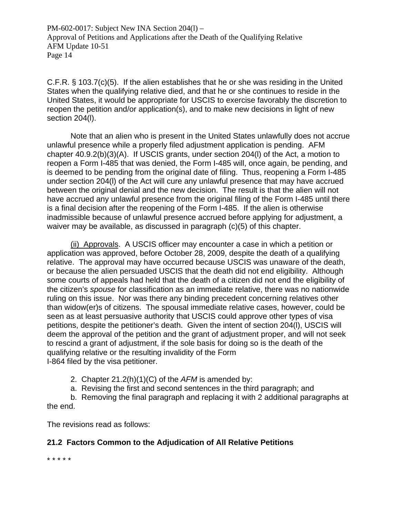C.F.R. § 103.7(c)(5). If the alien establishes that he or she was residing in the United States when the qualifying relative died, and that he or she continues to reside in the United States, it would be appropriate for USCIS to exercise favorably the discretion to reopen the petition and/or application(s), and to make new decisions in light of new section 204(I).

Note that an alien who is present in the United States unlawfully does not accrue unlawful presence while a properly filed adjustment application is pending. AFM chapter 40.9.2(b)(3)(A). If USCIS grants, under section 204(l) of the Act, a motion to reopen a Form I-485 that was denied, the Form I-485 will, once again, be pending, and is deemed to be pending from the original date of filing. Thus, reopening a Form I-485 under section 204(l) of the Act will cure any unlawful presence that may have accrued between the original denial and the new decision. The result is that the alien will not have accrued any unlawful presence from the original filing of the Form I-485 until there is a final decision after the reopening of the Form I-485. If the alien is otherwise inadmissible because of unlawful presence accrued before applying for adjustment, a waiver may be available, as discussed in paragraph (c)(5) of this chapter.

(ii) Approvals. A USCIS officer may encounter a case in which a petition or application was approved, before October 28, 2009, despite the death of a qualifying relative. The approval may have occurred because USCIS was unaware of the death, or because the alien persuaded USCIS that the death did not end eligibility. Although some courts of appeals had held that the death of a citizen did not end the eligibility of the citizen's *spouse* for classification as an immediate relative, there was no nationwide ruling on this issue. Nor was there any binding precedent concerning relatives other than widow(er)s of citizens. The spousal immediate relative cases, however, could be seen as at least persuasive authority that USCIS could approve other types of visa petitions, despite the petitioner's death. Given the intent of section 204(l), USCIS will deem the approval of the petition and the grant of adjustment proper, and will not seek to rescind a grant of adjustment, if the sole basis for doing so is the death of the qualifying relative or the resulting invalidity of the Form I-864 filed by the visa petitioner.

- 2. Chapter 21.2(h)(1)(C) of the *AFM* is amended by:
- a. Revising the first and second sentences in the third paragraph; and

b. Removing the final paragraph and replacing it with 2 additional paragraphs at

the end.

The revisions read as follows:

# **21.2 Factors Common to the Adjudication of All Relative Petitions**

\* \* \* \* \*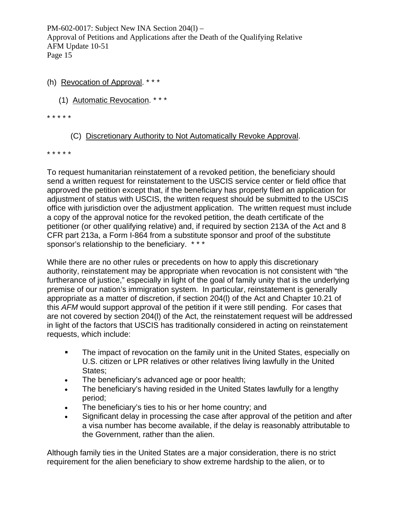#### (h) Revocation of Approval. \* \* \*

(1) Automatic Revocation. \* \* \*

\* \* \* \* \*

# (C) Discretionary Authority to Not Automatically Revoke Approval.

\* \* \* \* \*

To request humanitarian reinstatement of a revoked petition, the beneficiary should send a written request for reinstatement to the USCIS service center or field office that approved the petition except that, if the beneficiary has properly filed an application for adjustment of status with USCIS, the written request should be submitted to the USCIS office with jurisdiction over the adjustment application. The written request must include a copy of the approval notice for the revoked petition, the death certificate of the petitioner (or other qualifying relative) and, if required by section 213A of the Act and 8 CFR part 213a, a Form I-864 from a substitute sponsor and proof of the substitute sponsor's relationship to the beneficiary. \*\*\*

While there are no other rules or precedents on how to apply this discretionary authority, reinstatement may be appropriate when revocation is not consistent with "the furtherance of justice," especially in light of the goal of family unity that is the underlying premise of our nation's immigration system. In particular, reinstatement is generally appropriate as a matter of discretion, if section 204(l) of the Act and Chapter 10.21 of this *AFM* would support approval of the petition if it were still pending. For cases that are not covered by section 204(l) of the Act, the reinstatement request will be addressed in light of the factors that USCIS has traditionally considered in acting on reinstatement requests, which include:

- The impact of revocation on the family unit in the United States, especially on U.S. citizen or LPR relatives or other relatives living lawfully in the United States;
- The beneficiary's advanced age or poor health;
- The beneficiary's having resided in the United States lawfully for a lengthy period;
- The beneficiary's ties to his or her home country; and
- Significant delay in processing the case after approval of the petition and after a visa number has become available, if the delay is reasonably attributable to the Government, rather than the alien.

Although family ties in the United States are a major consideration, there is no strict requirement for the alien beneficiary to show extreme hardship to the alien, or to